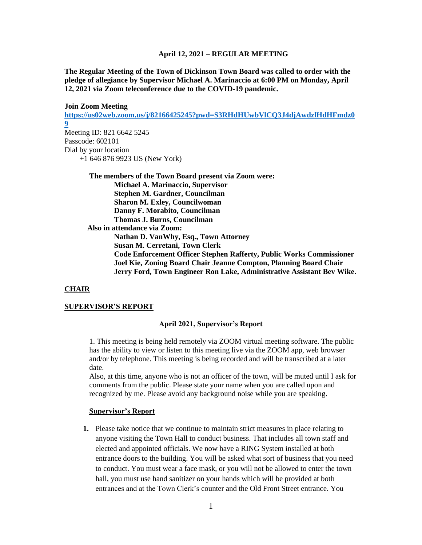**The Regular Meeting of the Town of Dickinson Town Board was called to order with the pledge of allegiance by Supervisor Michael A. Marinaccio at 6:00 PM on Monday, April 12, 2021 via Zoom teleconference due to the COVID-19 pandemic.**

**Join Zoom Meeting [https://us02web.zoom.us/j/82166425245?pwd=S3RHdHUwbVlCQ3J4djAwdzlHdHFmdz0](https://us02web.zoom.us/j/82166425245?pwd=S3RHdHUwbVlCQ3J4djAwdzlHdHFmdz09) [9](https://us02web.zoom.us/j/82166425245?pwd=S3RHdHUwbVlCQ3J4djAwdzlHdHFmdz09)** Meeting ID: 821 6642 5245 Passcode: 602101 Dial by your location +1 646 876 9923 US (New York)

**The members of the Town Board present via Zoom were: Michael A. Marinaccio, Supervisor Stephen M. Gardner, Councilman Sharon M. Exley, Councilwoman Danny F. Morabito, Councilman Thomas J. Burns, Councilman Also in attendance via Zoom: Nathan D. VanWhy, Esq., Town Attorney Susan M. Cerretani, Town Clerk Code Enforcement Officer Stephen Rafferty, Public Works Commissioner Joel Kie, Zoning Board Chair Jeanne Compton, Planning Board Chair Jerry Ford, Town Engineer Ron Lake, Administrative Assistant Bev Wike.**

#### **CHAIR**

#### **SUPERVISOR'S REPORT**

#### **April 2021, Supervisor's Report**

1. This meeting is being held remotely via ZOOM virtual meeting software. The public has the ability to view or listen to this meeting live via the ZOOM app, web browser and/or by telephone. This meeting is being recorded and will be transcribed at a later date.

Also, at this time, anyone who is not an officer of the town, will be muted until I ask for comments from the public. Please state your name when you are called upon and recognized by me. Please avoid any background noise while you are speaking.

#### **Supervisor's Report**

**1.** Please take notice that we continue to maintain strict measures in place relating to anyone visiting the Town Hall to conduct business. That includes all town staff and elected and appointed officials. We now have a RING System installed at both entrance doors to the building. You will be asked what sort of business that you need to conduct. You must wear a face mask, or you will not be allowed to enter the town hall, you must use hand sanitizer on your hands which will be provided at both entrances and at the Town Clerk's counter and the Old Front Street entrance. You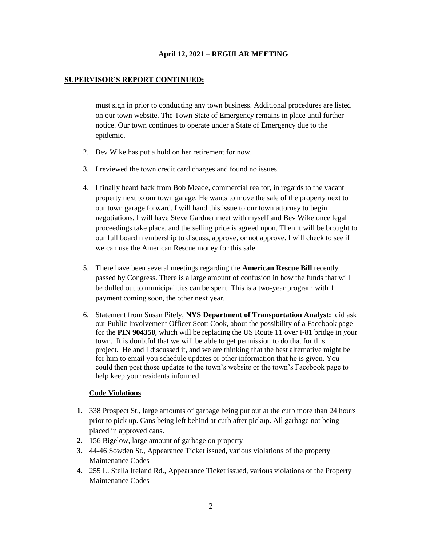## **SUPERVISOR'S REPORT CONTINUED:**

must sign in prior to conducting any town business. Additional procedures are listed on our town website. The Town State of Emergency remains in place until further notice. Our town continues to operate under a State of Emergency due to the epidemic.

- 2. Bev Wike has put a hold on her retirement for now.
- 3. I reviewed the town credit card charges and found no issues.
- 4. I finally heard back from Bob Meade, commercial realtor, in regards to the vacant property next to our town garage. He wants to move the sale of the property next to our town garage forward. I will hand this issue to our town attorney to begin negotiations. I will have Steve Gardner meet with myself and Bev Wike once legal proceedings take place, and the selling price is agreed upon. Then it will be brought to our full board membership to discuss, approve, or not approve. I will check to see if we can use the American Rescue money for this sale.
- 5. There have been several meetings regarding the **American Rescue Bill** recently passed by Congress. There is a large amount of confusion in how the funds that will be dulled out to municipalities can be spent. This is a two-year program with 1 payment coming soon, the other next year.
- 6. Statement from Susan Pitely, **NYS Department of Transportation Analyst:** did ask our Public Involvement Officer Scott Cook, about the possibility of a Facebook page for the **PIN 904350**, which will be replacing the US Route 11 over I-81 bridge in your town. It is doubtful that we will be able to get permission to do that for this project. He and I discussed it, and we are thinking that the best alternative might be for him to email you schedule updates or other information that he is given. You could then post those updates to the town's website or the town's Facebook page to help keep your residents informed.

## **Code Violations**

- **1.** 338 Prospect St., large amounts of garbage being put out at the curb more than 24 hours prior to pick up. Cans being left behind at curb after pickup. All garbage not being placed in approved cans.
- **2.** 156 Bigelow, large amount of garbage on property
- **3.** 44-46 Sowden St., Appearance Ticket issued, various violations of the property Maintenance Codes
- **4.** 255 L. Stella Ireland Rd., Appearance Ticket issued, various violations of the Property Maintenance Codes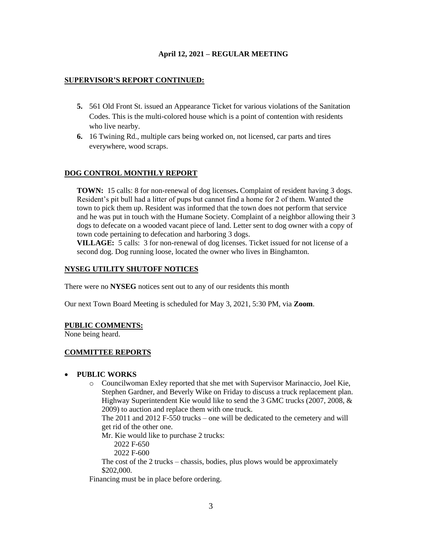# **SUPERVISOR'S REPORT CONTINUED:**

- **5.** 561 Old Front St. issued an Appearance Ticket for various violations of the Sanitation Codes. This is the multi-colored house which is a point of contention with residents who live nearby.
- **6.** 16 Twining Rd., multiple cars being worked on, not licensed, car parts and tires everywhere, wood scraps.

# **DOG CONTROL MONTHLY REPORT**

**TOWN:** 15 calls: 8 for non-renewal of dog licenses**.** Complaint of resident having 3 dogs. Resident's pit bull had a litter of pups but cannot find a home for 2 of them. Wanted the town to pick them up. Resident was informed that the town does not perform that service and he was put in touch with the Humane Society. Complaint of a neighbor allowing their 3 dogs to defecate on a wooded vacant piece of land. Letter sent to dog owner with a copy of town code pertaining to defecation and harboring 3 dogs.

**VILLAGE:** 5 calls: 3 for non-renewal of dog licenses. Ticket issued for not license of a second dog. Dog running loose, located the owner who lives in Binghamton.

# **NYSEG UTILITY SHUTOFF NOTICES**

There were no **NYSEG** notices sent out to any of our residents this month

Our next Town Board Meeting is scheduled for May 3, 2021, 5:30 PM, via **Zoom**.

## **PUBLIC COMMENTS:**

None being heard.

## **COMMITTEE REPORTS**

#### • **PUBLIC WORKS**

o Councilwoman Exley reported that she met with Supervisor Marinaccio, Joel Kie, Stephen Gardner, and Beverly Wike on Friday to discuss a truck replacement plan. Highway Superintendent Kie would like to send the 3 GMC trucks (2007, 2008, & 2009) to auction and replace them with one truck.

The 2011 and 2012 F-550 trucks – one will be dedicated to the cemetery and will get rid of the other one.

Mr. Kie would like to purchase 2 trucks:

2022 F-650

2022 F-600

The cost of the 2 trucks – chassis, bodies, plus plows would be approximately \$202,000.

Financing must be in place before ordering.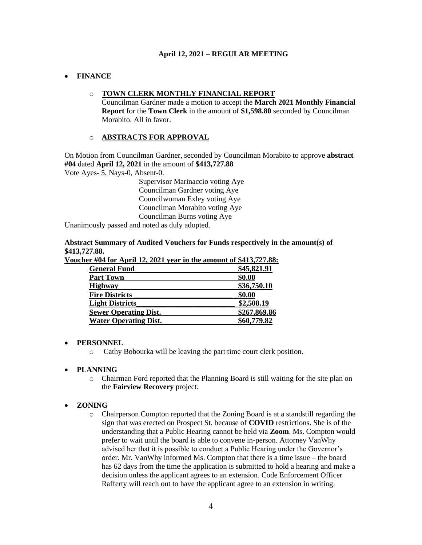#### • **FINANCE**

#### o **TOWN CLERK MONTHLY FINANCIAL REPORT**

Councilman Gardner made a motion to accept the **March 2021 Monthly Financial Report** for the **Town Clerk** in the amount of **\$1,598.80** seconded by Councilman Morabito. All in favor.

#### o **ABSTRACTS FOR APPROVAL**

On Motion from Councilman Gardner, seconded by Councilman Morabito to approve **abstract #04** dated **April 12, 2021** in the amount of **\$413,727.88**

Vote Ayes- 5, Nays-0, Absent-0.

Supervisor Marinaccio voting Aye Councilman Gardner voting Aye Councilwoman Exley voting Aye Councilman Morabito voting Aye Councilman Burns voting Aye

Unanimously passed and noted as duly adopted.

**Abstract Summary of Audited Vouchers for Funds respectively in the amount(s) of \$413,727.88.** 

|                     | Voucher #04 for April 12, 2021 year in the amount of \$413,727.88: |
|---------------------|--------------------------------------------------------------------|
| <b>General Fund</b> | \$45,821.91                                                        |

| General Fund                 | 545,841.91   |
|------------------------------|--------------|
| <b>Part Town</b>             | \$0.00       |
| <b>Highway</b>               | \$36,750.10  |
| <b>Fire Districts</b>        | \$0.00       |
| <b>Light Districts</b>       | \$2,508.19   |
| <b>Sewer Operating Dist.</b> | \$267,869.86 |
| <b>Water Operating Dist.</b> | \$60,779.82  |

#### • **PERSONNEL**

o Cathy Bobourka will be leaving the part time court clerk position.

# • **PLANNING**

o Chairman Ford reported that the Planning Board is still waiting for the site plan on the **Fairview Recovery** project.

## • **ZONING**

o Chairperson Compton reported that the Zoning Board is at a standstill regarding the sign that was erected on Prospect St. because of **COVID** restrictions. She is of the understanding that a Public Hearing cannot be held via **Zoom**. Ms. Compton would prefer to wait until the board is able to convene in-person. Attorney VanWhy advised her that it is possible to conduct a Public Hearing under the Governor's order. Mr. VanWhy informed Ms. Compton that there is a time issue – the board has 62 days from the time the application is submitted to hold a hearing and make a decision unless the applicant agrees to an extension. Code Enforcement Officer Rafferty will reach out to have the applicant agree to an extension in writing.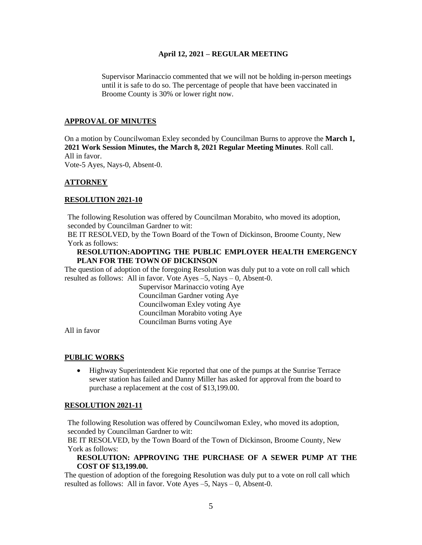Supervisor Marinaccio commented that we will not be holding in-person meetings until it is safe to do so. The percentage of people that have been vaccinated in Broome County is 30% or lower right now.

## **APPROVAL OF MINUTES**

On a motion by Councilwoman Exley seconded by Councilman Burns to approve the **March 1, 2021 Work Session Minutes, the March 8, 2021 Regular Meeting Minutes**. Roll call. All in favor. Vote-5 Ayes, Nays-0, Absent-0.

# **ATTORNEY**

## **RESOLUTION 2021-10**

The following Resolution was offered by Councilman Morabito, who moved its adoption, seconded by Councilman Gardner to wit:

BE IT RESOLVED, by the Town Board of the Town of Dickinson, Broome County, New York as follows:

## **RESOLUTION:ADOPTING THE PUBLIC EMPLOYER HEALTH EMERGENCY PLAN FOR THE TOWN OF DICKINSON**

The question of adoption of the foregoing Resolution was duly put to a vote on roll call which resulted as follows: All in favor. Vote Ayes –5, Nays – 0, Absent-0.

> Supervisor Marinaccio voting Aye Councilman Gardner voting Aye Councilwoman Exley voting Aye Councilman Morabito voting Aye Councilman Burns voting Aye

All in favor

#### **PUBLIC WORKS**

• Highway Superintendent Kie reported that one of the pumps at the Sunrise Terrace sewer station has failed and Danny Miller has asked for approval from the board to purchase a replacement at the cost of \$13,199.00.

#### **RESOLUTION 2021-11**

The following Resolution was offered by Councilwoman Exley, who moved its adoption, seconded by Councilman Gardner to wit:

BE IT RESOLVED, by the Town Board of the Town of Dickinson, Broome County, New York as follows:

## **RESOLUTION: APPROVING THE PURCHASE OF A SEWER PUMP AT THE COST OF \$13,199.00.**

The question of adoption of the foregoing Resolution was duly put to a vote on roll call which resulted as follows: All in favor. Vote Ayes –5, Nays – 0, Absent-0.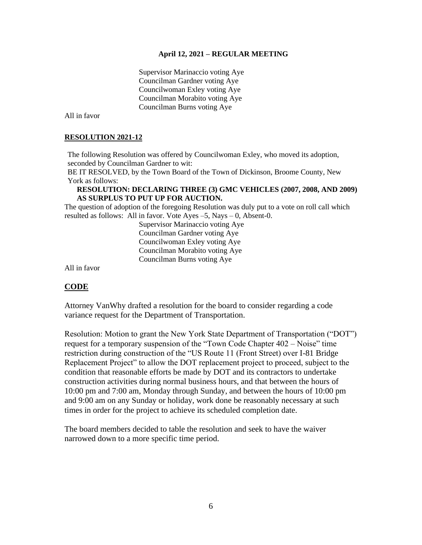Supervisor Marinaccio voting Aye Councilman Gardner voting Aye Councilwoman Exley voting Aye Councilman Morabito voting Aye Councilman Burns voting Aye

All in favor

## **RESOLUTION 2021-12**

The following Resolution was offered by Councilwoman Exley, who moved its adoption, seconded by Councilman Gardner to wit:

BE IT RESOLVED, by the Town Board of the Town of Dickinson, Broome County, New York as follows:

## **RESOLUTION: DECLARING THREE (3) GMC VEHICLES (2007, 2008, AND 2009) AS SURPLUS TO PUT UP FOR AUCTION.**

The question of adoption of the foregoing Resolution was duly put to a vote on roll call which resulted as follows: All in favor. Vote Ayes –5, Nays – 0, Absent-0.

> Supervisor Marinaccio voting Aye Councilman Gardner voting Aye Councilwoman Exley voting Aye Councilman Morabito voting Aye Councilman Burns voting Aye

All in favor

## **CODE**

Attorney VanWhy drafted a resolution for the board to consider regarding a code variance request for the Department of Transportation.

Resolution: Motion to grant the New York State Department of Transportation ("DOT") request for a temporary suspension of the "Town Code Chapter 402 – Noise" time restriction during construction of the "US Route 11 (Front Street) over I-81 Bridge Replacement Project" to allow the DOT replacement project to proceed, subject to the condition that reasonable efforts be made by DOT and its contractors to undertake construction activities during normal business hours, and that between the hours of 10:00 pm and 7:00 am, Monday through Sunday, and between the hours of 10:00 pm and 9:00 am on any Sunday or holiday, work done be reasonably necessary at such times in order for the project to achieve its scheduled completion date.

The board members decided to table the resolution and seek to have the waiver narrowed down to a more specific time period.